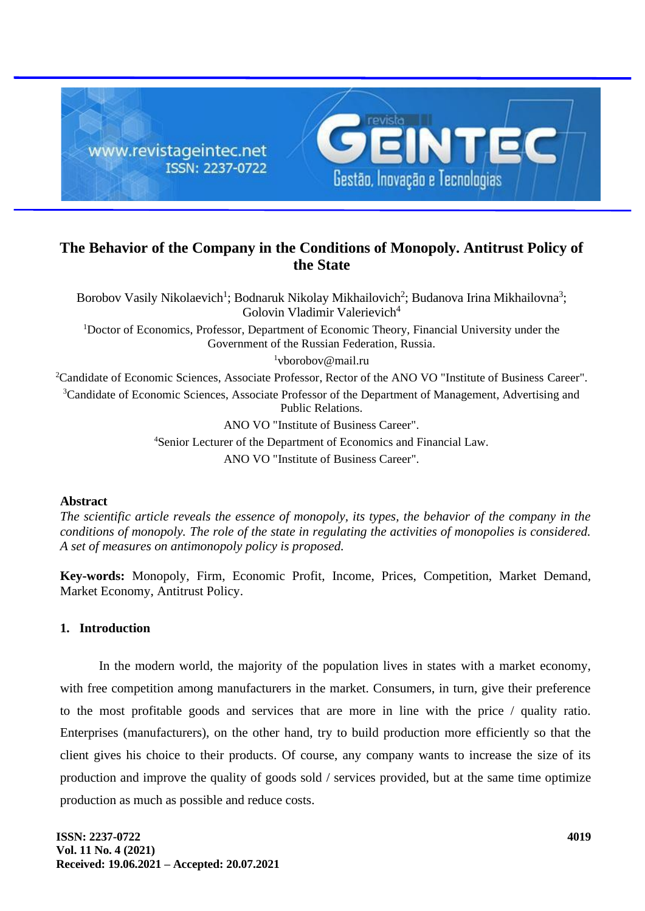

# **The Behavior of the Company in the Conditions of Monopoly. Antitrust Policy of the State**

Borobov Vasily Nikolaevich<sup>1</sup>; Bodnaruk Nikolay Mikhailovich<sup>2</sup>; Budanova Irina Mikhailovna<sup>3</sup>; Golovin Vladimir Valerievich<sup>4</sup> <sup>1</sup>Doctor of Economics, Professor, Department of Economic Theory, Financial University under the Government of the Russian Federation, Russia.  $1$ vborobov@mail.ru <sup>2</sup>Candidate of Economic Sciences, Associate Professor, Rector of the ANO VO "Institute of Business Career". <sup>3</sup>Candidate of Economic Sciences, Associate Professor of the Department of Management, Advertising and Public Relations. ANO VO "Institute of Business Career". <sup>4</sup>Senior Lecturer of the Department of Economics and Financial Law.

ANO VO "Institute of Business Career".

#### **Abstract**

*The scientific article reveals the essence of monopoly, its types, the behavior of the company in the conditions of monopoly. The role of the state in regulating the activities of monopolies is considered. A set of measures on antimonopoly policy is proposed.*

**Key-words:** Monopoly, Firm, Economic Profit, Income, Prices, Competition, Market Demand, Market Economy, Antitrust Policy.

## **1. Introduction**

In the modern world, the majority of the population lives in states with a market economy, with free competition among manufacturers in the market. Consumers, in turn, give their preference to the most profitable goods and services that are more in line with the price / quality ratio. Enterprises (manufacturers), on the other hand, try to build production more efficiently so that the client gives his choice to their products. Of course, any company wants to increase the size of its production and improve the quality of goods sold / services provided, but at the same time optimize production as much as possible and reduce costs.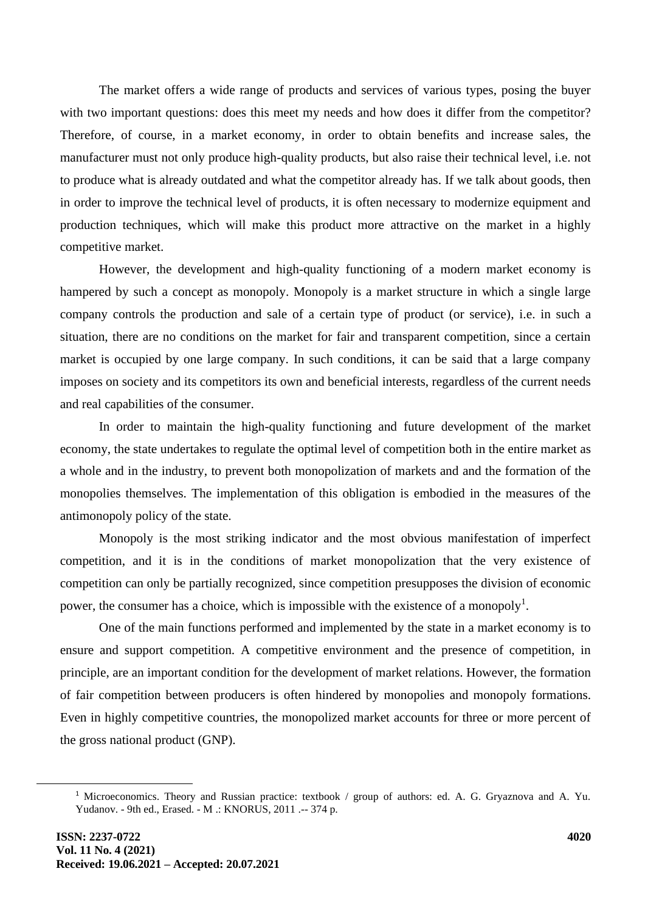The market offers a wide range of products and services of various types, posing the buyer with two important questions: does this meet my needs and how does it differ from the competitor? Therefore, of course, in a market economy, in order to obtain benefits and increase sales, the manufacturer must not only produce high-quality products, but also raise their technical level, i.e. not to produce what is already outdated and what the competitor already has. If we talk about goods, then in order to improve the technical level of products, it is often necessary to modernize equipment and production techniques, which will make this product more attractive on the market in a highly competitive market.

However, the development and high-quality functioning of a modern market economy is hampered by such a concept as monopoly. Monopoly is a market structure in which a single large company controls the production and sale of a certain type of product (or service), i.e. in such a situation, there are no conditions on the market for fair and transparent competition, since a certain market is occupied by one large company. In such conditions, it can be said that a large company imposes on society and its competitors its own and beneficial interests, regardless of the current needs and real capabilities of the consumer.

In order to maintain the high-quality functioning and future development of the market economy, the state undertakes to regulate the optimal level of competition both in the entire market as a whole and in the industry, to prevent both monopolization of markets and and the formation of the monopolies themselves. The implementation of this obligation is embodied in the measures of the antimonopoly policy of the state.

Monopoly is the most striking indicator and the most obvious manifestation of imperfect competition, and it is in the conditions of market monopolization that the very existence of competition can only be partially recognized, since competition presupposes the division of economic power, the consumer has a choice, which is impossible with the existence of a monopoly<sup>1</sup>.

One of the main functions performed and implemented by the state in a market economy is to ensure and support competition. A competitive environment and the presence of competition, in principle, are an important condition for the development of market relations. However, the formation of fair competition between producers is often hindered by monopolies and monopoly formations. Even in highly competitive countries, the monopolized market accounts for three or more percent of the gross national product (GNP).

<sup>1</sup> Microeconomics. Theory and Russian practice: textbook / group of authors: ed. A. G. Gryaznova and A. Yu. Yudanov. - 9th ed., Erased. - M .: KNORUS, 2011 .-- 374 p.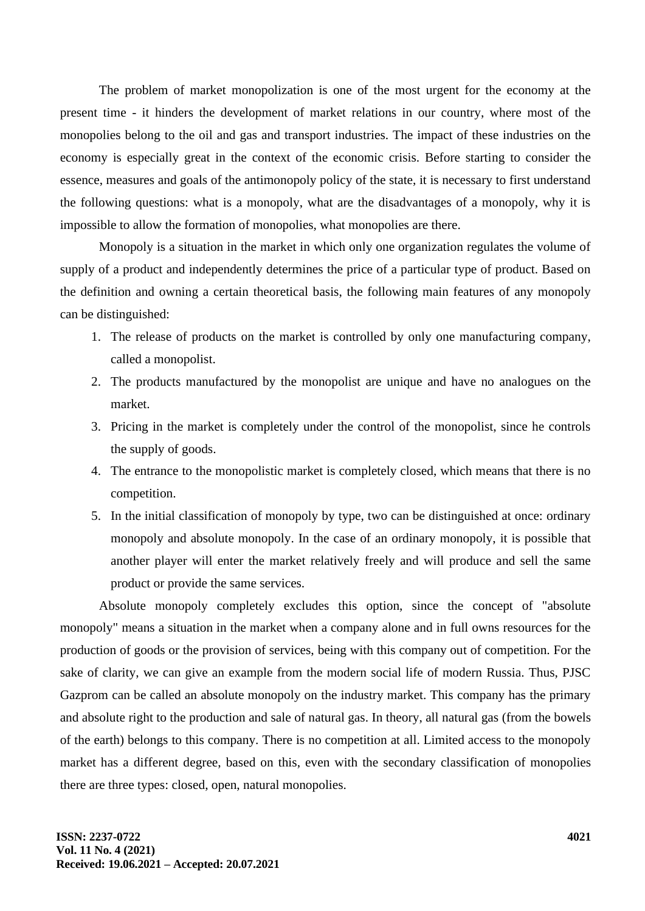The problem of market monopolization is one of the most urgent for the economy at the present time - it hinders the development of market relations in our country, where most of the monopolies belong to the oil and gas and transport industries. The impact of these industries on the economy is especially great in the context of the economic crisis. Before starting to consider the essence, measures and goals of the antimonopoly policy of the state, it is necessary to first understand the following questions: what is a monopoly, what are the disadvantages of a monopoly, why it is impossible to allow the formation of monopolies, what monopolies are there.

Monopoly is a situation in the market in which only one organization regulates the volume of supply of a product and independently determines the price of a particular type of product. Based on the definition and owning a certain theoretical basis, the following main features of any monopoly can be distinguished:

- 1. The release of products on the market is controlled by only one manufacturing company, called a monopolist.
- 2. The products manufactured by the monopolist are unique and have no analogues on the market.
- 3. Pricing in the market is completely under the control of the monopolist, since he controls the supply of goods.
- 4. The entrance to the monopolistic market is completely closed, which means that there is no competition.
- 5. In the initial classification of monopoly by type, two can be distinguished at once: ordinary monopoly and absolute monopoly. In the case of an ordinary monopoly, it is possible that another player will enter the market relatively freely and will produce and sell the same product or provide the same services.

Absolute monopoly completely excludes this option, since the concept of "absolute monopoly" means a situation in the market when a company alone and in full owns resources for the production of goods or the provision of services, being with this company out of competition. For the sake of clarity, we can give an example from the modern social life of modern Russia. Thus, PJSC Gazprom can be called an absolute monopoly on the industry market. This company has the primary and absolute right to the production and sale of natural gas. In theory, all natural gas (from the bowels of the earth) belongs to this company. There is no competition at all. Limited access to the monopoly market has a different degree, based on this, even with the secondary classification of monopolies there are three types: closed, open, natural monopolies.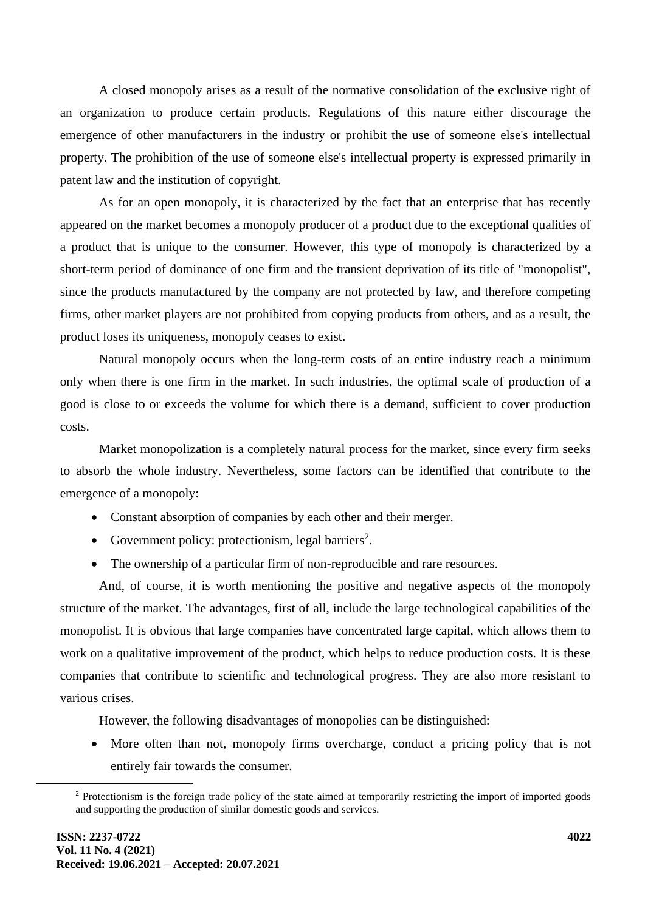A closed monopoly arises as a result of the normative consolidation of the exclusive right of an organization to produce certain products. Regulations of this nature either discourage the emergence of other manufacturers in the industry or prohibit the use of someone else's intellectual property. The prohibition of the use of someone else's intellectual property is expressed primarily in patent law and the institution of copyright.

As for an open monopoly, it is characterized by the fact that an enterprise that has recently appeared on the market becomes a monopoly producer of a product due to the exceptional qualities of a product that is unique to the consumer. However, this type of monopoly is characterized by a short-term period of dominance of one firm and the transient deprivation of its title of "monopolist", since the products manufactured by the company are not protected by law, and therefore competing firms, other market players are not prohibited from copying products from others, and as a result, the product loses its uniqueness, monopoly ceases to exist.

Natural monopoly occurs when the long-term costs of an entire industry reach a minimum only when there is one firm in the market. In such industries, the optimal scale of production of a good is close to or exceeds the volume for which there is a demand, sufficient to cover production costs.

Market monopolization is a completely natural process for the market, since every firm seeks to absorb the whole industry. Nevertheless, some factors can be identified that contribute to the emergence of a monopoly:

- Constant absorption of companies by each other and their merger.
- Government policy: protectionism, legal barriers<sup>2</sup>.
- The ownership of a particular firm of non-reproducible and rare resources.

And, of course, it is worth mentioning the positive and negative aspects of the monopoly structure of the market. The advantages, first of all, include the large technological capabilities of the monopolist. It is obvious that large companies have concentrated large capital, which allows them to work on a qualitative improvement of the product, which helps to reduce production costs. It is these companies that contribute to scientific and technological progress. They are also more resistant to various crises.

However, the following disadvantages of monopolies can be distinguished:

More often than not, monopoly firms overcharge, conduct a pricing policy that is not entirely fair towards the consumer.

<sup>&</sup>lt;sup>2</sup> Protectionism is the foreign trade policy of the state aimed at temporarily restricting the import of imported goods and supporting the production of similar domestic goods and services.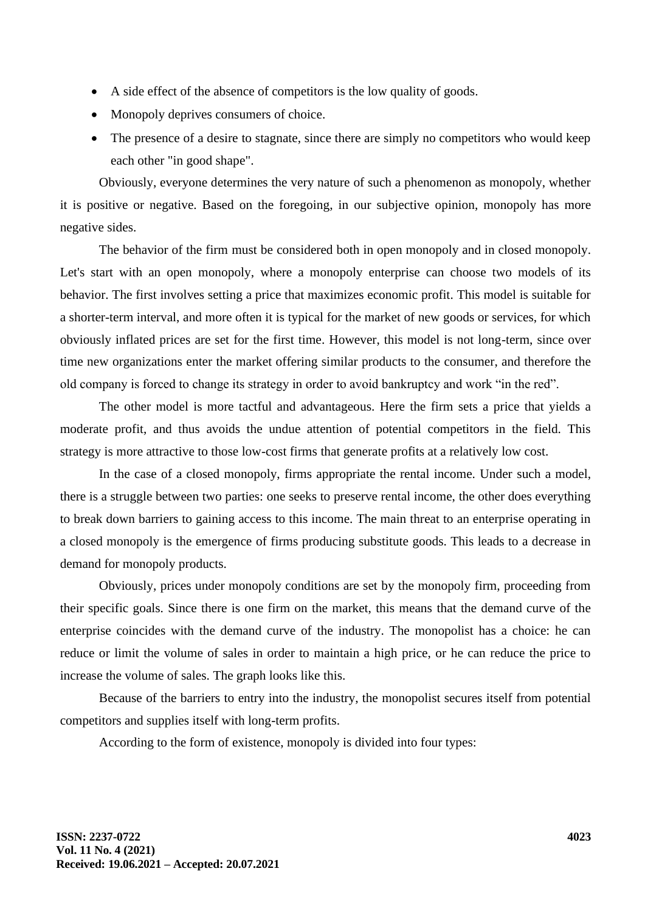- A side effect of the absence of competitors is the low quality of goods.
- Monopoly deprives consumers of choice.
- The presence of a desire to stagnate, since there are simply no competitors who would keep each other "in good shape".

Obviously, everyone determines the very nature of such a phenomenon as monopoly, whether it is positive or negative. Based on the foregoing, in our subjective opinion, monopoly has more negative sides.

The behavior of the firm must be considered both in open monopoly and in closed monopoly. Let's start with an open monopoly, where a monopoly enterprise can choose two models of its behavior. The first involves setting a price that maximizes economic profit. This model is suitable for a shorter-term interval, and more often it is typical for the market of new goods or services, for which obviously inflated prices are set for the first time. However, this model is not long-term, since over time new organizations enter the market offering similar products to the consumer, and therefore the old company is forced to change its strategy in order to avoid bankruptcy and work "in the red".

The other model is more tactful and advantageous. Here the firm sets a price that yields a moderate profit, and thus avoids the undue attention of potential competitors in the field. This strategy is more attractive to those low-cost firms that generate profits at a relatively low cost.

In the case of a closed monopoly, firms appropriate the rental income. Under such a model, there is a struggle between two parties: one seeks to preserve rental income, the other does everything to break down barriers to gaining access to this income. The main threat to an enterprise operating in a closed monopoly is the emergence of firms producing substitute goods. This leads to a decrease in demand for monopoly products.

Obviously, prices under monopoly conditions are set by the monopoly firm, proceeding from their specific goals. Since there is one firm on the market, this means that the demand curve of the enterprise coincides with the demand curve of the industry. The monopolist has a choice: he can reduce or limit the volume of sales in order to maintain a high price, or he can reduce the price to increase the volume of sales. The graph looks like this.

Because of the barriers to entry into the industry, the monopolist secures itself from potential competitors and supplies itself with long-term profits.

According to the form of existence, monopoly is divided into four types: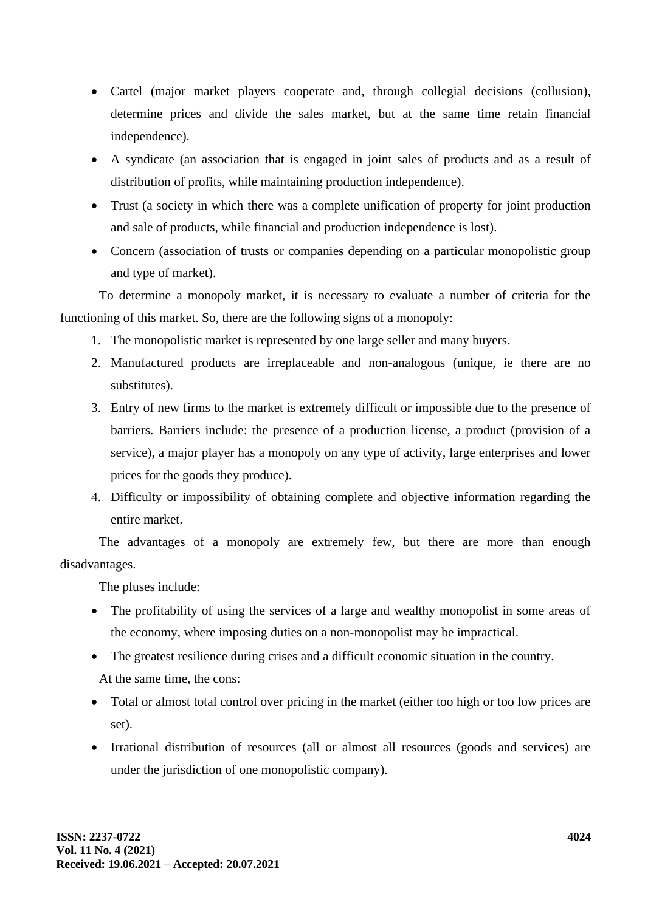- Cartel (major market players cooperate and, through collegial decisions (collusion), determine prices and divide the sales market, but at the same time retain financial independence).
- A syndicate (an association that is engaged in joint sales of products and as a result of distribution of profits, while maintaining production independence).
- Trust (a society in which there was a complete unification of property for joint production and sale of products, while financial and production independence is lost).
- Concern (association of trusts or companies depending on a particular monopolistic group and type of market).

To determine a monopoly market, it is necessary to evaluate a number of criteria for the functioning of this market. So, there are the following signs of a monopoly:

- 1. The monopolistic market is represented by one large seller and many buyers.
- 2. Manufactured products are irreplaceable and non-analogous (unique, ie there are no substitutes).
- 3. Entry of new firms to the market is extremely difficult or impossible due to the presence of barriers. Barriers include: the presence of a production license, a product (provision of a service), a major player has a monopoly on any type of activity, large enterprises and lower prices for the goods they produce).
- 4. Difficulty or impossibility of obtaining complete and objective information regarding the entire market.

The advantages of a monopoly are extremely few, but there are more than enough disadvantages.

The pluses include:

- The profitability of using the services of a large and wealthy monopolist in some areas of the economy, where imposing duties on a non-monopolist may be impractical.
- The greatest resilience during crises and a difficult economic situation in the country. At the same time, the cons:
- Total or almost total control over pricing in the market (either too high or too low prices are set).
- Irrational distribution of resources (all or almost all resources (goods and services) are under the jurisdiction of one monopolistic company).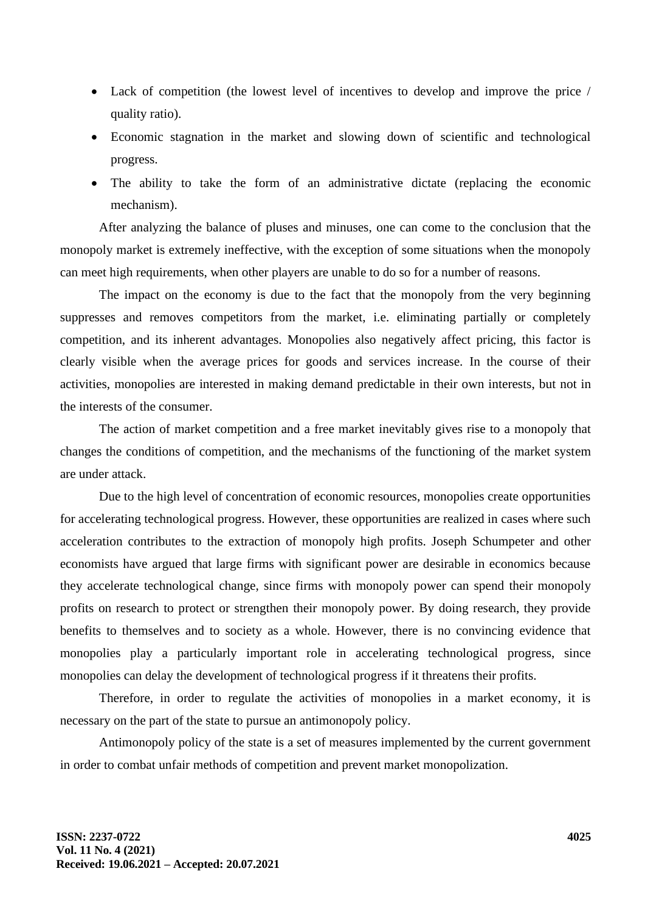- Lack of competition (the lowest level of incentives to develop and improve the price / quality ratio).
- Economic stagnation in the market and slowing down of scientific and technological progress.
- The ability to take the form of an administrative dictate (replacing the economic mechanism).

After analyzing the balance of pluses and minuses, one can come to the conclusion that the monopoly market is extremely ineffective, with the exception of some situations when the monopoly can meet high requirements, when other players are unable to do so for a number of reasons.

The impact on the economy is due to the fact that the monopoly from the very beginning suppresses and removes competitors from the market, i.e. eliminating partially or completely competition, and its inherent advantages. Monopolies also negatively affect pricing, this factor is clearly visible when the average prices for goods and services increase. In the course of their activities, monopolies are interested in making demand predictable in their own interests, but not in the interests of the consumer.

The action of market competition and a free market inevitably gives rise to a monopoly that changes the conditions of competition, and the mechanisms of the functioning of the market system are under attack.

Due to the high level of concentration of economic resources, monopolies create opportunities for accelerating technological progress. However, these opportunities are realized in cases where such acceleration contributes to the extraction of monopoly high profits. Joseph Schumpeter and other economists have argued that large firms with significant power are desirable in economics because they accelerate technological change, since firms with monopoly power can spend their monopoly profits on research to protect or strengthen their monopoly power. By doing research, they provide benefits to themselves and to society as a whole. However, there is no convincing evidence that monopolies play a particularly important role in accelerating technological progress, since monopolies can delay the development of technological progress if it threatens their profits.

Therefore, in order to regulate the activities of monopolies in a market economy, it is necessary on the part of the state to pursue an antimonopoly policy.

Antimonopoly policy of the state is a set of measures implemented by the current government in order to combat unfair methods of competition and prevent market monopolization.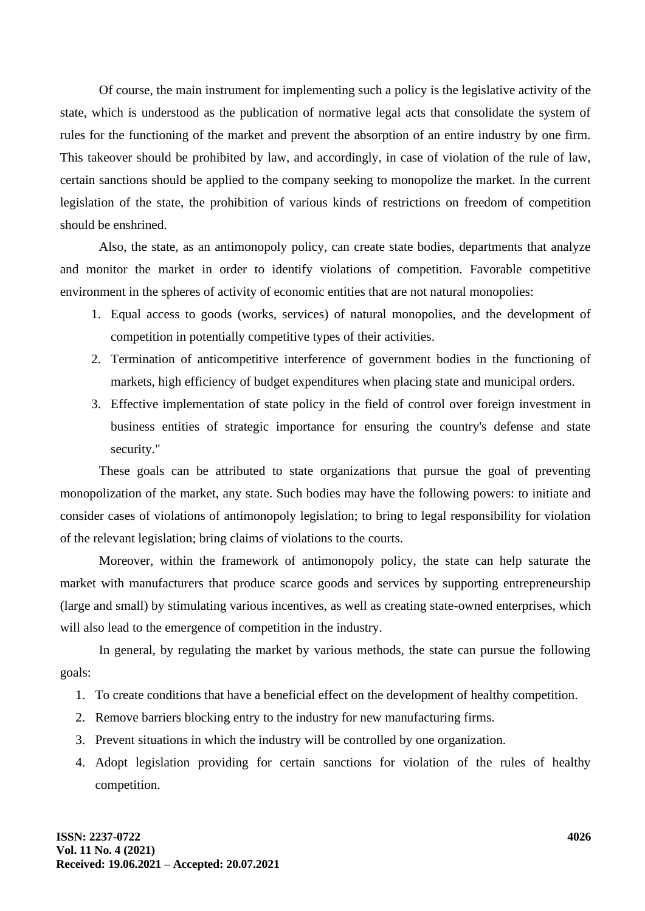Of course, the main instrument for implementing such a policy is the legislative activity of the state, which is understood as the publication of normative legal acts that consolidate the system of rules for the functioning of the market and prevent the absorption of an entire industry by one firm. This takeover should be prohibited by law, and accordingly, in case of violation of the rule of law, certain sanctions should be applied to the company seeking to monopolize the market. In the current legislation of the state, the prohibition of various kinds of restrictions on freedom of competition should be enshrined.

Also, the state, as an antimonopoly policy, can create state bodies, departments that analyze and monitor the market in order to identify violations of competition. Favorable competitive environment in the spheres of activity of economic entities that are not natural monopolies:

- 1. Equal access to goods (works, services) of natural monopolies, and the development of competition in potentially competitive types of their activities.
- 2. Termination of anticompetitive interference of government bodies in the functioning of markets, high efficiency of budget expenditures when placing state and municipal orders.
- 3. Effective implementation of state policy in the field of control over foreign investment in business entities of strategic importance for ensuring the country's defense and state security."

These goals can be attributed to state organizations that pursue the goal of preventing monopolization of the market, any state. Such bodies may have the following powers: to initiate and consider cases of violations of antimonopoly legislation; to bring to legal responsibility for violation of the relevant legislation; bring claims of violations to the courts.

Moreover, within the framework of antimonopoly policy, the state can help saturate the market with manufacturers that produce scarce goods and services by supporting entrepreneurship (large and small) by stimulating various incentives, as well as creating state-owned enterprises, which will also lead to the emergence of competition in the industry.

In general, by regulating the market by various methods, the state can pursue the following goals:

- 1. To create conditions that have a beneficial effect on the development of healthy competition.
- 2. Remove barriers blocking entry to the industry for new manufacturing firms.
- 3. Prevent situations in which the industry will be controlled by one organization.
- 4. Adopt legislation providing for certain sanctions for violation of the rules of healthy competition.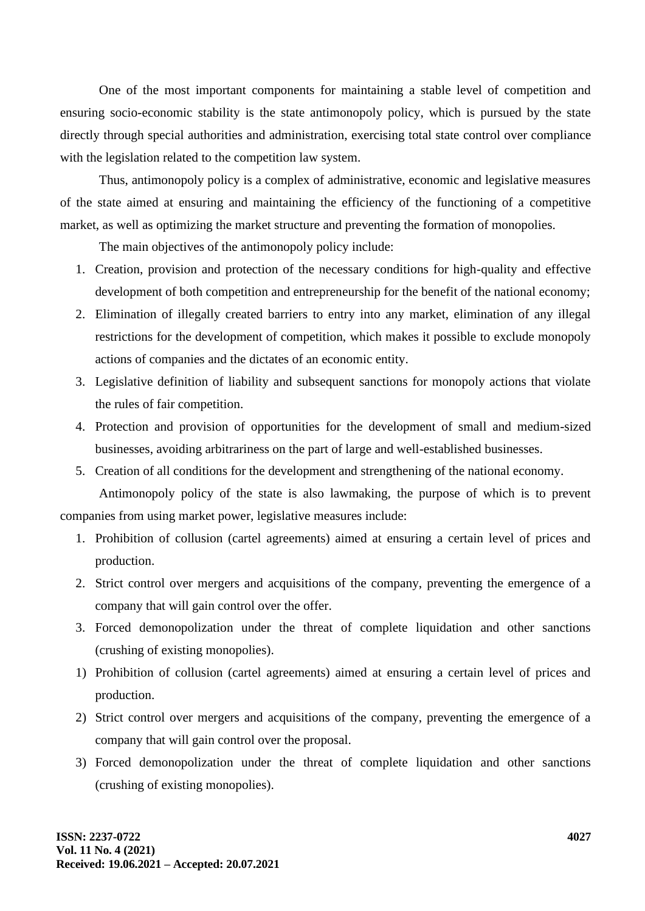One of the most important components for maintaining a stable level of competition and ensuring socio-economic stability is the state antimonopoly policy, which is pursued by the state directly through special authorities and administration, exercising total state control over compliance with the legislation related to the competition law system.

Thus, antimonopoly policy is a complex of administrative, economic and legislative measures of the state aimed at ensuring and maintaining the efficiency of the functioning of a competitive market, as well as optimizing the market structure and preventing the formation of monopolies.

The main objectives of the antimonopoly policy include:

- 1. Creation, provision and protection of the necessary conditions for high-quality and effective development of both competition and entrepreneurship for the benefit of the national economy;
- 2. Elimination of illegally created barriers to entry into any market, elimination of any illegal restrictions for the development of competition, which makes it possible to exclude monopoly actions of companies and the dictates of an economic entity.
- 3. Legislative definition of liability and subsequent sanctions for monopoly actions that violate the rules of fair competition.
- 4. Protection and provision of opportunities for the development of small and medium-sized businesses, avoiding arbitrariness on the part of large and well-established businesses.
- 5. Creation of all conditions for the development and strengthening of the national economy.

Antimonopoly policy of the state is also lawmaking, the purpose of which is to prevent companies from using market power, legislative measures include:

- 1. Prohibition of collusion (cartel agreements) aimed at ensuring a certain level of prices and production.
- 2. Strict control over mergers and acquisitions of the company, preventing the emergence of a company that will gain control over the offer.
- 3. Forced demonopolization under the threat of complete liquidation and other sanctions (crushing of existing monopolies).
- 1) Prohibition of collusion (cartel agreements) aimed at ensuring a certain level of prices and production.
- 2) Strict control over mergers and acquisitions of the company, preventing the emergence of a company that will gain control over the proposal.
- 3) Forced demonopolization under the threat of complete liquidation and other sanctions (crushing of existing monopolies).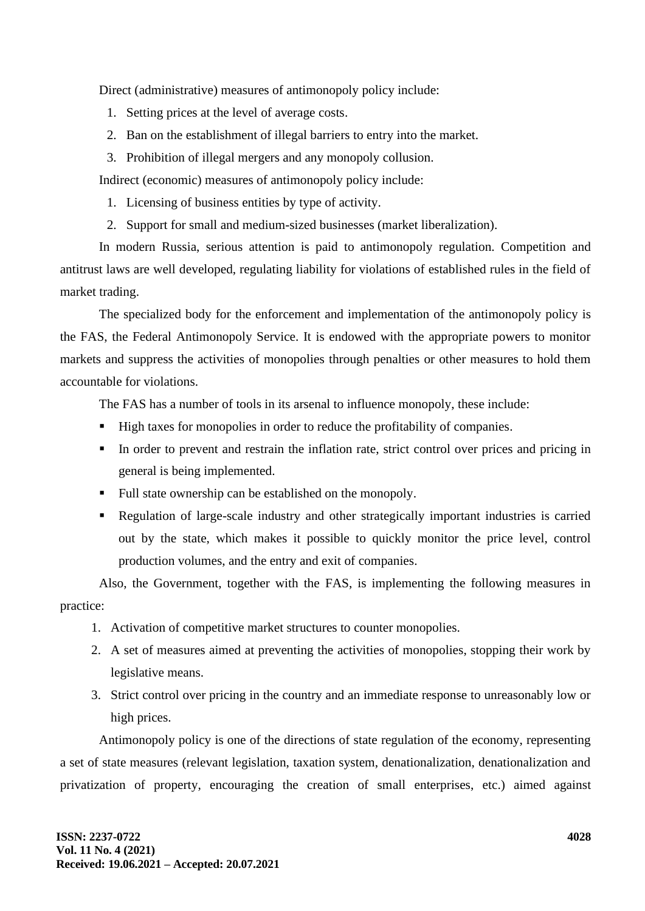Direct (administrative) measures of antimonopoly policy include:

- 1. Setting prices at the level of average costs.
- 2. Ban on the establishment of illegal barriers to entry into the market.
- 3. Prohibition of illegal mergers and any monopoly collusion.

Indirect (economic) measures of antimonopoly policy include:

- 1. Licensing of business entities by type of activity.
- 2. Support for small and medium-sized businesses (market liberalization).

In modern Russia, serious attention is paid to antimonopoly regulation. Competition and antitrust laws are well developed, regulating liability for violations of established rules in the field of market trading.

The specialized body for the enforcement and implementation of the antimonopoly policy is the FAS, the Federal Antimonopoly Service. It is endowed with the appropriate powers to monitor markets and suppress the activities of monopolies through penalties or other measures to hold them accountable for violations.

The FAS has a number of tools in its arsenal to influence monopoly, these include:

- High taxes for monopolies in order to reduce the profitability of companies.
- **IF** In order to prevent and restrain the inflation rate, strict control over prices and pricing in general is being implemented.
- Full state ownership can be established on the monopoly.
- Regulation of large-scale industry and other strategically important industries is carried out by the state, which makes it possible to quickly monitor the price level, control production volumes, and the entry and exit of companies.

Also, the Government, together with the FAS, is implementing the following measures in practice:

- 1. Activation of competitive market structures to counter monopolies.
- 2. A set of measures aimed at preventing the activities of monopolies, stopping their work by legislative means.
- 3. Strict control over pricing in the country and an immediate response to unreasonably low or high prices.

Antimonopoly policy is one of the directions of state regulation of the economy, representing a set of state measures (relevant legislation, taxation system, denationalization, denationalization and privatization of property, encouraging the creation of small enterprises, etc.) aimed against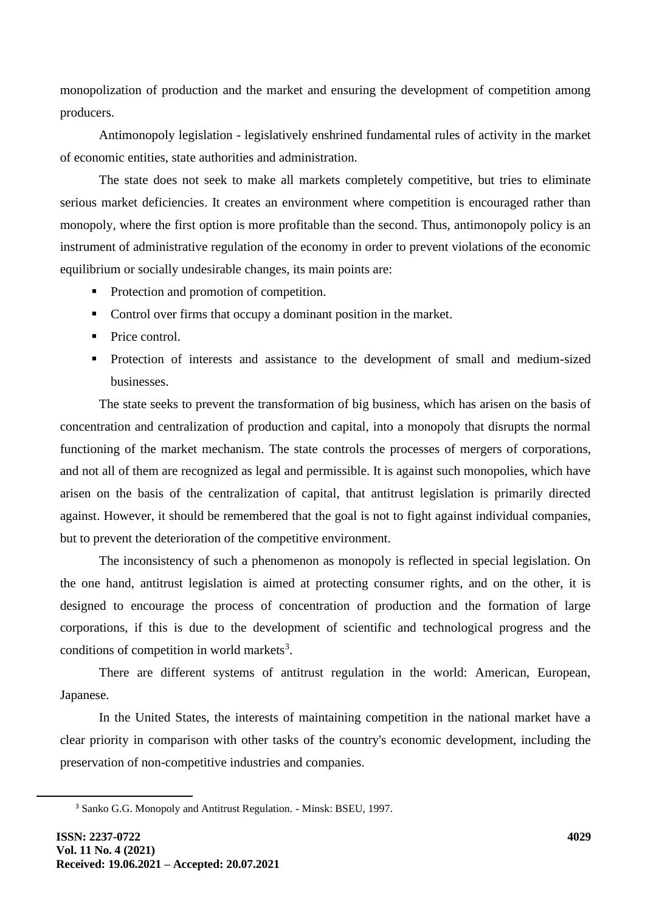monopolization of production and the market and ensuring the development of competition among producers.

Antimonopoly legislation - legislatively enshrined fundamental rules of activity in the market of economic entities, state authorities and administration.

The state does not seek to make all markets completely competitive, but tries to eliminate serious market deficiencies. It creates an environment where competition is encouraged rather than monopoly, where the first option is more profitable than the second. Thus, antimonopoly policy is an instrument of administrative regulation of the economy in order to prevent violations of the economic equilibrium or socially undesirable changes, its main points are:

- Protection and promotion of competition.
- Control over firms that occupy a dominant position in the market.
- Price control.
- Protection of interests and assistance to the development of small and medium-sized businesses.

The state seeks to prevent the transformation of big business, which has arisen on the basis of concentration and centralization of production and capital, into a monopoly that disrupts the normal functioning of the market mechanism. The state controls the processes of mergers of corporations, and not all of them are recognized as legal and permissible. It is against such monopolies, which have arisen on the basis of the centralization of capital, that antitrust legislation is primarily directed against. However, it should be remembered that the goal is not to fight against individual companies, but to prevent the deterioration of the competitive environment.

The inconsistency of such a phenomenon as monopoly is reflected in special legislation. On the one hand, antitrust legislation is aimed at protecting consumer rights, and on the other, it is designed to encourage the process of concentration of production and the formation of large corporations, if this is due to the development of scientific and technological progress and the conditions of competition in world markets $3$ .

There are different systems of antitrust regulation in the world: American, European, Japanese.

In the United States, the interests of maintaining competition in the national market have a clear priority in comparison with other tasks of the country's economic development, including the preservation of non-competitive industries and companies.

<sup>3</sup> Sanko G.G. Monopoly and Antitrust Regulation. - Minsk: BSEU, 1997.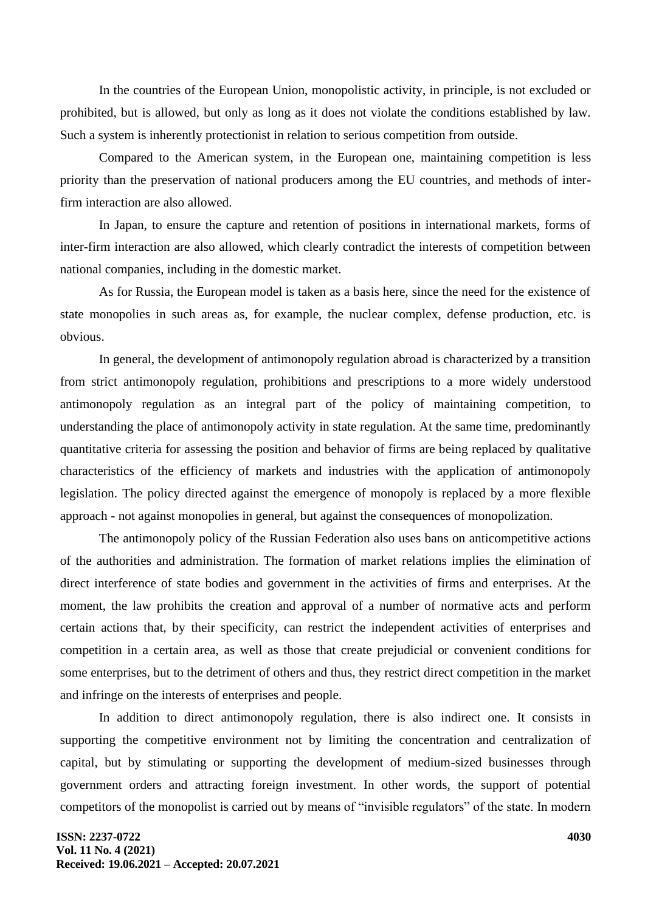In the countries of the European Union, monopolistic activity, in principle, is not excluded or prohibited, but is allowed, but only as long as it does not violate the conditions established by law. Such a system is inherently protectionist in relation to serious competition from outside.

Compared to the American system, in the European one, maintaining competition is less priority than the preservation of national producers among the EU countries, and methods of interfirm interaction are also allowed.

In Japan, to ensure the capture and retention of positions in international markets, forms of inter-firm interaction are also allowed, which clearly contradict the interests of competition between national companies, including in the domestic market.

As for Russia, the European model is taken as a basis here, since the need for the existence of state monopolies in such areas as, for example, the nuclear complex, defense production, etc. is obvious.

In general, the development of antimonopoly regulation abroad is characterized by a transition from strict antimonopoly regulation, prohibitions and prescriptions to a more widely understood antimonopoly regulation as an integral part of the policy of maintaining competition, to understanding the place of antimonopoly activity in state regulation. At the same time, predominantly quantitative criteria for assessing the position and behavior of firms are being replaced by qualitative characteristics of the efficiency of markets and industries with the application of antimonopoly legislation. The policy directed against the emergence of monopoly is replaced by a more flexible approach - not against monopolies in general, but against the consequences of monopolization.

The antimonopoly policy of the Russian Federation also uses bans on anticompetitive actions of the authorities and administration. The formation of market relations implies the elimination of direct interference of state bodies and government in the activities of firms and enterprises. At the moment, the law prohibits the creation and approval of a number of normative acts and perform certain actions that, by their specificity, can restrict the independent activities of enterprises and competition in a certain area, as well as those that create prejudicial or convenient conditions for some enterprises, but to the detriment of others and thus, they restrict direct competition in the market and infringe on the interests of enterprises and people.

In addition to direct antimonopoly regulation, there is also indirect one. It consists in supporting the competitive environment not by limiting the concentration and centralization of capital, but by stimulating or supporting the development of medium-sized businesses through government orders and attracting foreign investment. In other words, the support of potential competitors of the monopolist is carried out by means of "invisible regulators" of the state. In modern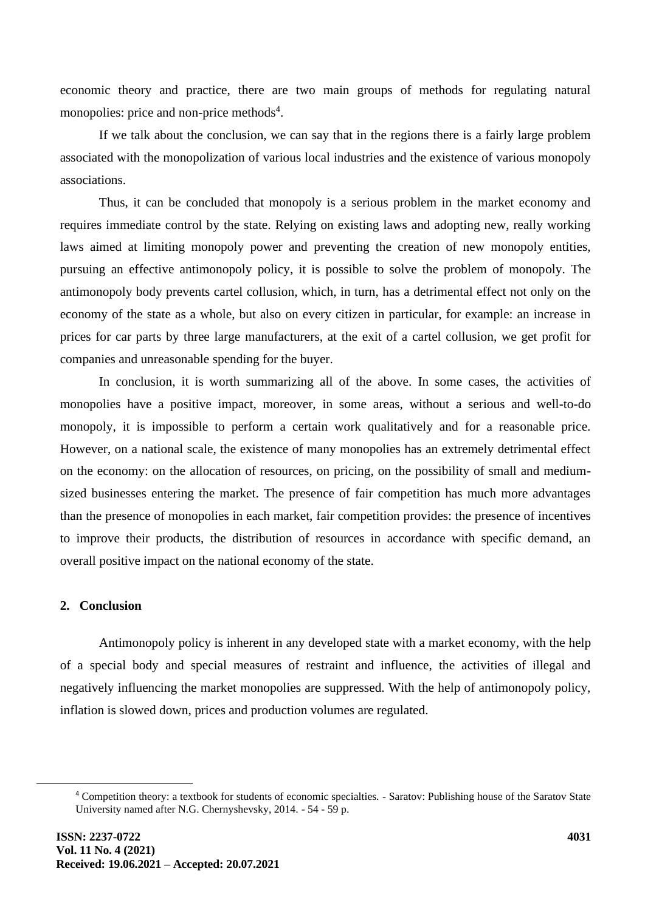economic theory and practice, there are two main groups of methods for regulating natural monopolies: price and non-price methods<sup>4</sup>.

If we talk about the conclusion, we can say that in the regions there is a fairly large problem associated with the monopolization of various local industries and the existence of various monopoly associations.

Thus, it can be concluded that monopoly is a serious problem in the market economy and requires immediate control by the state. Relying on existing laws and adopting new, really working laws aimed at limiting monopoly power and preventing the creation of new monopoly entities, pursuing an effective antimonopoly policy, it is possible to solve the problem of monopoly. The antimonopoly body prevents cartel collusion, which, in turn, has a detrimental effect not only on the economy of the state as a whole, but also on every citizen in particular, for example: an increase in prices for car parts by three large manufacturers, at the exit of a cartel collusion, we get profit for companies and unreasonable spending for the buyer.

In conclusion, it is worth summarizing all of the above. In some cases, the activities of monopolies have a positive impact, moreover, in some areas, without a serious and well-to-do monopoly, it is impossible to perform a certain work qualitatively and for a reasonable price. However, on a national scale, the existence of many monopolies has an extremely detrimental effect on the economy: on the allocation of resources, on pricing, on the possibility of small and mediumsized businesses entering the market. The presence of fair competition has much more advantages than the presence of monopolies in each market, fair competition provides: the presence of incentives to improve their products, the distribution of resources in accordance with specific demand, an overall positive impact on the national economy of the state.

#### **2. Conclusion**

Antimonopoly policy is inherent in any developed state with a market economy, with the help of a special body and special measures of restraint and influence, the activities of illegal and negatively influencing the market monopolies are suppressed. With the help of antimonopoly policy, inflation is slowed down, prices and production volumes are regulated.

<sup>4</sup> Competition theory: a textbook for students of economic specialties. - Saratov: Publishing house of the Saratov State University named after N.G. Chernyshevsky, 2014. - 54 - 59 p.